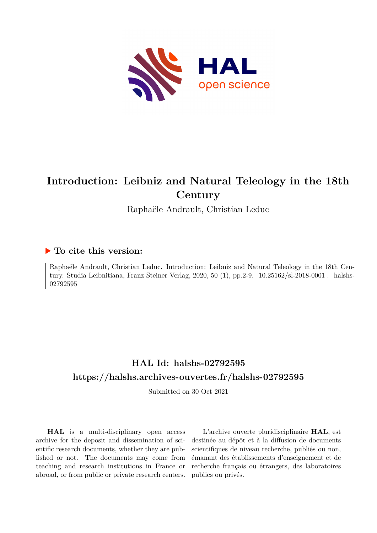

# **Introduction: Leibniz and Natural Teleology in the 18th Century**

Raphaële Andrault, Christian Leduc

### **To cite this version:**

Raphaële Andrault, Christian Leduc. Introduction: Leibniz and Natural Teleology in the 18th Century. Studia Leibnitiana, Franz Steiner Verlag, 2020, 50 (1), pp. 2-9.  $10.25162/sl-2018-0001$ . halshs-02792595ff

## **HAL Id: halshs-02792595 <https://halshs.archives-ouvertes.fr/halshs-02792595>**

Submitted on 30 Oct 2021

**HAL** is a multi-disciplinary open access archive for the deposit and dissemination of scientific research documents, whether they are published or not. The documents may come from teaching and research institutions in France or abroad, or from public or private research centers.

L'archive ouverte pluridisciplinaire **HAL**, est destinée au dépôt et à la diffusion de documents scientifiques de niveau recherche, publiés ou non, émanant des établissements d'enseignement et de recherche français ou étrangers, des laboratoires publics ou privés.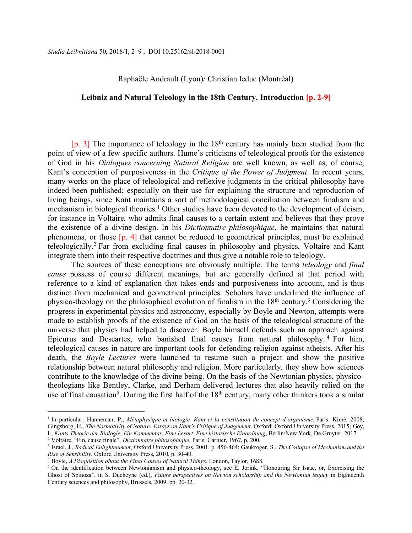#### Raphaële Andrault (Lyon)/ Christian leduc (Montréal)

#### **Leibniz and Natural Teleology in the 18th Century. Introduction [p. 2-9]**

 $[p. 3]$  The importance of teleology in the 18<sup>th</sup> century has mainly been studied from the point of view of a few specific authors. Hume's criticisms of teleological proofs for the existence of God in his *Dialogues concerning Natural Religion* are well known, as well as, of course, Kant's conception of purposiveness in the *Critique of the Power of Judgment*. In recent years, many works on the place of teleological and reflexive judgments in the critical philosophy have indeed been published; especially on their use for explaining the structure and reproduction of living beings, since Kant maintains a sort of methodological conciliation between finalism and mechanism in biological theories.<sup>1</sup> Other studies have been devoted to the development of deism, for instance in Voltaire, who admits final causes to a certain extent and believes that they prove the existence of a divine design. In his *Dictionnaire philosophique*, he maintains that natural phenomena, or those [p. 4] that cannot be reduced to geometrical principles, must be explained teleologically.2 Far from excluding final causes in philosophy and physics, Voltaire and Kant integrate them into their respective doctrines and thus give a notable role to teleology.

The sources of these conceptions are obviously multiple. The terms *teleology* and *final cause* possess of course different meanings, but are generally defined at that period with reference to a kind of explanation that takes ends and purposiveness into account, and is thus distinct from mechanical and geometrical principles. Scholars have underlined the influence of physico-theology on the philosophical evolution of finalism in the  $18<sup>th</sup>$  century.<sup>3</sup> Considering the progress in experimental physics and astronomy, especially by Boyle and Newton, attempts were made to establish proofs of the existence of God on the basis of the teleological structure of the universe that physics had helped to discover. Boyle himself defends such an approach against Epicurus and Descartes, who banished final causes from natural philosophy. <sup>4</sup> For him, teleological causes in nature are important tools for defending religion against atheists. After his death, the *Boyle Lectures* were launched to resume such a project and show the positive relationship between natural philosophy and religion. More particularly, they show how sciences contribute to the knowledge of the divine being. On the basis of the Newtonian physics, physicotheologians like Bentley, Clarke, and Derham delivered lectures that also heavily relied on the use of final causation<sup>5</sup>. During the first half of the  $18<sup>th</sup>$  century, many other thinkers took a similar

<sup>1</sup> In particular: Hunneman, P., *Métaphysique et biologie. Kant et la constitution du concept d'organisme.* Paris: Kimé, 2008; Gingsborg, H., *The Normativity of Nature: Essays on Kant's Critique of Judgement*. Oxford: Oxford University Press, 2015; Goy, I., *Kants Theorie der Biologie. Ein Kommentar. Eine Lesart. Eine historische Einordnung*, Berlin/New York, De Gruyter, 2017.

<sup>2</sup> Voltaire, "Fin, cause finale", *Dictionnaire philosophique*, Paris, Garnier, 1967, p. 200.

<sup>&</sup>lt;sup>3</sup> Israel, J., *Radical Enlightenment*, Oxford University Press, 2001, p. 456-464; Gaukroger, S., *The Collapse of Mechanism and the Rise of Sensibility*, Oxford University Press, 2010, p. 30-40.

<sup>4</sup> Boyle, *A Disquisition about the Final Causes of Natural Things*, London, Taylor, 1688.

<sup>5</sup> On the identification between Newtonianism and physico-theology, see E. Jorink, "Honouring Sir Isaac, or, Exorcising the Ghost of Spinoza", in S. Ducheyne (ed.), *Future perspectives on Newton scholarship and the Newtonian legacy* in Eighteenth Century sciences and philosophy, Brussels, 2009, pp. 20-32.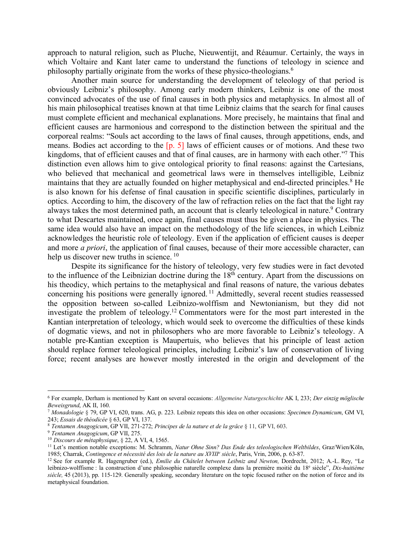approach to natural religion, such as Pluche, Nieuwentijt, and Réaumur. Certainly, the ways in which Voltaire and Kant later came to understand the functions of teleology in science and philosophy partially originate from the works of these physico-theologians.6

Another main source for understanding the development of teleology of that period is obviously Leibniz's philosophy. Among early modern thinkers, Leibniz is one of the most convinced advocates of the use of final causes in both physics and metaphysics. In almost all of his main philosophical treatises known at that time Leibniz claims that the search for final causes must complete efficient and mechanical explanations. More precisely, he maintains that final and efficient causes are harmonious and correspond to the distinction between the spiritual and the corporeal realms: "Souls act according to the laws of final causes, through appetitions, ends, and means. Bodies act according to the [p. 5] laws of efficient causes or of motions. And these two kingdoms, that of efficient causes and that of final causes, are in harmony with each other."<sup>7</sup> This distinction even allows him to give ontological priority to final reasons: against the Cartesians, who believed that mechanical and geometrical laws were in themselves intelligible, Leibniz maintains that they are actually founded on higher metaphysical and end-directed principles.<sup>8</sup> He is also known for his defense of final causation in specific scientific disciplines, particularly in optics. According to him, the discovery of the law of refraction relies on the fact that the light ray always takes the most determined path, an account that is clearly teleological in nature.<sup>9</sup> Contrary to what Descartes maintained, once again, final causes must thus be given a place in physics. The same idea would also have an impact on the methodology of the life sciences, in which Leibniz acknowledges the heuristic role of teleology. Even if the application of efficient causes is deeper and more *a priori*, the application of final causes, because of their more accessible character, can help us discover new truths in science.<sup>10</sup>

Despite its significance for the history of teleology, very few studies were in fact devoted to the influence of the Leibnizian doctrine during the 18<sup>th</sup> century. Apart from the discussions on his theodicy, which pertains to the metaphysical and final reasons of nature, the various debates concerning his positions were generally ignored. <sup>11</sup> Admittedly, several recent studies reassessed the opposition between so-called Leibnizo-wolffism and Newtonianism, but they did not investigate the problem of teleology.12 Commentators were for the most part interested in the Kantian interpretation of teleology, which would seek to overcome the difficulties of these kinds of dogmatic views, and not in philosophers who are more favorable to Leibniz's teleology. A notable pre-Kantian exception is Maupertuis, who believes that his principle of least action should replace former teleological principles, including Leibniz's law of conservation of living force; recent analyses are however mostly interested in the origin and development of the

<sup>6</sup> For example, Derham is mentioned by Kant on several occasions: *Allgemeine Naturgeschichte* AK I, 233; *Der einzig möglische Beweisgrund*, AK II, 160.

<sup>7</sup> *Monadologie* § 79, GP VI, 620, trans. AG, p. 223. Leibniz repeats this idea on other occasions: *Specimen Dynamicum*, GM VI, 243; *Essais de théodicée* § 63, GP VI, 137.

<sup>8</sup> *Tentamen Anagogicum*, GP VII, 271-272; *Principes de la nature et de la grâce* § 11, GP VI, 603.

<sup>9</sup> *Tentamen Anagogicum*, GP VII, 275.

<sup>10</sup> *Discours de métaphysique*, § 22, A VI, 4, 1565.

<sup>11</sup> Let's mention notable exceptions: M. Schramm, *Natur Ohne Sinn? Das Ende des teleologischen Weltbildes*, Graz/Wien/Köln, 1985; Charrak, *Contingence et nécessité des lois de la nature au XVIIIe siècle*, Paris, Vrin, 2006, p. 63-87.

<sup>12</sup> See for example R. Hagengruber (ed.), *Emilie du Châtelet between Leibniz and Newton,* Dordrecht, 2012; A.-L. Rey, "Le leibnizo-wolffisme : la construction d'une philosophie naturelle complexe dans la première moitié du 18e siècle", *Dix-huitième siècle,* 45 (2013), pp. 115-129. Generally speaking, secondary literature on the topic focused rather on the notion of force and its metaphysical foundation.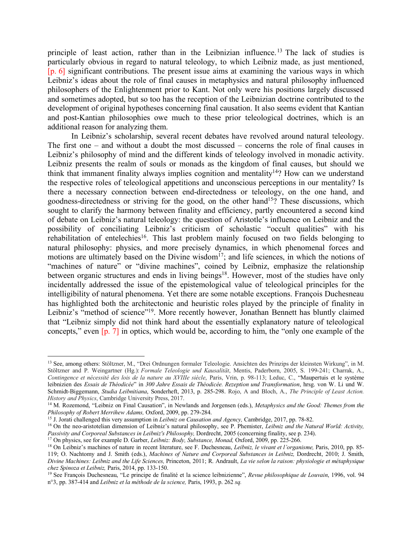principle of least action, rather than in the Leibnizian influence.<sup>13</sup> The lack of studies is particularly obvious in regard to natural teleology, to which Leibniz made, as just mentioned, [p. 6] significant contributions. The present issue aims at examining the various ways in which Leibniz's ideas about the role of final causes in metaphysics and natural philosophy influenced philosophers of the Enlightenment prior to Kant. Not only were his positions largely discussed and sometimes adopted, but so too has the reception of the Leibnizian doctrine contributed to the development of original hypotheses concerning final causation. It also seems evident that Kantian and post-Kantian philosophies owe much to these prior teleological doctrines, which is an additional reason for analyzing them.

In Leibniz's scholarship, several recent debates have revolved around natural teleology. The first one – and without a doubt the most discussed – concerns the role of final causes in Leibniz's philosophy of mind and the different kinds of teleology involved in monadic activity. Leibniz presents the realm of souls or monads as the kingdom of final causes, but should we think that immanent finality always implies cognition and mentality<sup>14</sup>? How can we understand the respective roles of teleological appetitions and unconscious perceptions in our mentality? Is there a necessary connection between end-directedness or teleology, on the one hand, and goodness-directedness or striving for the good, on the other hand<sup>15</sup>? These discussions, which sought to clarify the harmony between finality and efficiency, partly encountered a second kind of debate on Leibniz's natural teleology: the question of Aristotle's influence on Leibniz and the possibility of conciliating Leibniz's criticism of scholastic "occult qualities" with his rehabilitation of entelechies<sup>16</sup>. This last problem mainly focused on two fields belonging to natural philosophy: physics, and more precisely dynamics, in which phenomenal forces and motions are ultimately based on the Divine wisdom<sup>17</sup>; and life sciences, in which the notions of "machines of nature" or "divine machines", coined by Leibniz, emphasize the relationship between organic structures and ends in living beings<sup>18</sup>. However, most of the studies have only incidentally addressed the issue of the epistemological value of teleological principles for the intelligibility of natural phenomena. Yet there are some notable exceptions. François Duchesneau has highlighted both the architectonic and heuristic roles played by the principle of finality in Leibniz's "method of science"<sup>19</sup>. More recently however, Jonathan Bennett has bluntly claimed that "Leibniz simply did not think hard about the essentially explanatory nature of teleological concepts," even [p. 7] in optics, which would be, according to him, the "only one example of the

<sup>13</sup> See, among others: Stöltzner, M., "Drei Ordnungen formaler Teleologie. Ansichten des Prinzips der kleinsten Wirkung", in M. Stöltzner and P. Weingartner (Hg.): *Formale Teleologie und Kausalität*, Mentis, Paderborn, 2005, S. 199-241; Charrak, A., *Contingence et nécessité des lois de la nature au XVIIIe siècle*, Paris, Vrin, p. 98-113; Leduc, C., "Maupertuis et le système leibnizien des *Essais de Théodicée*" in *300 Jahre Essais de Théodicée. Rezeption und Transformation*, hrsg. von W. Li und W. Schmidt-Biggemann, *Studia Leibnitiana*, Sonderheft, 2013, p. 285-298. Rojo, A and Bloch, A., *The Principle of Least Action. History and Physics*, Cambridge University Press, 2017.<br><sup>14</sup> M. Rozemond, "Leibniz on Final Causation", in Newlands and Jorgensen (eds.), *Metaphysics and the Good: Themes from the* 

*Philosophy of Robert Merrihew Adams,* Oxford, 2009, pp. 279-284.

<sup>15</sup> J. Jorati challenged this very assumption in *Leibniz on Causation and Agency,* Cambridge, 2017, pp. 78-82.

<sup>&</sup>lt;sup>16</sup> On the neo-aristotelian dimension of Leibniz's natural philosophy, see P. Phemister, *Leibniz and the Natural World: Activity, Passivity and Corporeal Substances in Leibniz's Philosophy, Dordrecht, 2005 (concerning fi* 

<sup>&</sup>lt;sup>17</sup> On physics, see for example D. Garber, *Leibniz: Body*, *Substance, Monad*, Oxford, 2009, pp. 225-266.

<sup>18</sup> On Leibniz's machines of nature in recent literature, see F. Duchesneau, *Leibniz, le vivant et l'organisme,* Paris, 2010, pp. 85- 119; O. Nachtomy and J. Smith (eds.), *Machines of Nature and Corporeal Substances in Leibniz,* Dordrecht, 2010; J. Smith, *Divine Machines: Leibniz and the Life Sciences,* Princeton, 2011; R. Andrault, *La vie selon la raison: physiologie et métaphysique chez Spinoza et Leibniz,* Paris, 2014, pp. 133-150.

<sup>19</sup> See François Duchesneau, "Le principe de finalité et la science leibnizienne", *Revue philosophique de Louvain*, 1996, vol. 94 n°3, pp. 387-414 and *Leibniz et la méthode de la science,* Paris, 1993, p. 262 *sq.*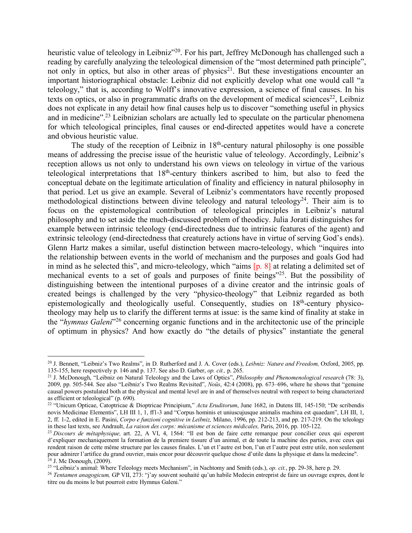heuristic value of teleology in Leibniz<sup>"20</sup>. For his part, Jeffrey McDonough has challenged such a reading by carefully analyzing the teleological dimension of the "most determined path principle", not only in optics, but also in other areas of physics<sup>21</sup>. But these investigations encounter an important historiographical obstacle: Leibniz did not explicitly develop what one would call "a teleology," that is, according to Wolff's innovative expression, a science of final causes. In his texts on optics, or also in programmatic drafts on the development of medical sciences<sup>22</sup>, Leibniz does not explicate in any detail how final causes help us to discover "something useful in physics and in medicine".<sup>23</sup> Leibnizian scholars are actually led to speculate on the particular phenomena for which teleological principles, final causes or end-directed appetites would have a concrete and obvious heuristic value.

The study of the reception of Leibniz in  $18<sup>th</sup>$ -century natural philosophy is one possible means of addressing the precise issue of the heuristic value of teleology. Accordingly, Leibniz's reception allows us not only to understand his own views on teleology in virtue of the various teleological interpretations that 18th-century thinkers ascribed to him, but also to feed the conceptual debate on the legitimate articulation of finality and efficiency in natural philosophy in that period. Let us give an example. Several of Leibniz's commentators have recently proposed methodological distinctions between divine teleology and natural teleology<sup>24</sup>. Their aim is to focus on the epistemological contribution of teleological principles in Leibniz's natural philosophy and to set aside the much-discussed problem of theodicy. Julia Jorati distinguishes for example between intrinsic teleology (end-directedness due to intrinsic features of the agent) and extrinsic teleology (end-directedness that creaturely actions have in virtue of serving God's ends). Glenn Hartz makes a similar, useful distinction between macro-teleology, which "inquires into the relationship between events in the world of mechanism and the purposes and goals God had in mind as he selected this", and micro-teleology, which "aims [p. 8] at relating a delimited set of mechanical events to a set of goals and purposes of finite beings"25. But the possibility of distinguishing between the intentional purposes of a divine creator and the intrinsic goals of created beings is challenged by the very "physico-theology" that Leibniz regarded as both epistemologically and theologically useful. Consequently, studies on 18<sup>th</sup>-century physicotheology may help us to clarify the different terms at issue: is the same kind of finality at stake in the "*hymnus Galeni*"26 concerning organic functions and in the architectonic use of the principle of optimum in physics? And how exactly do "the details of physics" instantiate the general

<sup>20</sup> J. Bennett, "Leibniz's Two Realms", in D. Rutherford and J. A. Cover (eds.), *Leibniz: Nature and Freedom,* Oxford, 2005, pp. 135-155, here respectively p. 146 and p. 137. See also D. Garber, *op. cit.,* p. 265.

<sup>21</sup> J. McDonough, "Leibniz on Natural Teleology and the Laws of Optics", *Philosophy and Phenomenological research* (78: 3), 2009, pp. 505-544. See also "Leibniz's Two Realms Revisited", *Noûs*, 42:4 (2008), pp. 673–696, where he shows that "genuine causal powers postulated both at the physical and mental level are in and of themselves neutral with respect to being characterized as efficient or teleological" (p. 690).

<sup>22</sup> "Unicum Opticae, Catoptricae & Dioptricae Principium," *Acta Eruditorum*, June 1682, in Dutens III, 145-150; "De scribendis novis Medicinae Elementis", LH III 1, 1, ff1-3 and "Corpus hominis et uniuscujusque animalis machina est quaedam", LH III, 1, 2, ff. 1-2, edited in E. Pasini, *Corpo e funzioni cognitive in Leibniz,* Milano, 1996, pp. 212-213, and pp. 217-219. On the teleology

<sup>&</sup>lt;sup>23</sup> Discours de métaphysique, art. 22, A VI, 4, 1564: "Il est bon de faire cette remarque pour concilier ceux qui esperent d'expliquer mechaniquement la formation de la premiere tissure d'un animal, et de toute la machine des parties, avec ceux qui rendent raison de cette même structure par les causes finales. L'un et l'autre est bon, l'un et l'autre peut estre utile, non seulement pour admirer l'artifice du grand ouvrier, mais encor pour découvrir quelque chose d'utile dans la physique et dans la medecine".  $24$  J. Mc Donough, (2009).

<sup>25</sup> "Leibniz's animal: Where Teleology meets Mechanism", in Nachtomy and Smith (eds.), *op. cit.*, pp. 29-38, here p. 29.

<sup>26</sup> *Tentamen anagogicum,* GP VII, 273: "j'ay souvent souhaité qu'un habile Medecin entreprist de faire un ouvrage expres, dont le titre ou du moins le but pourroit estre Hymnus Galeni."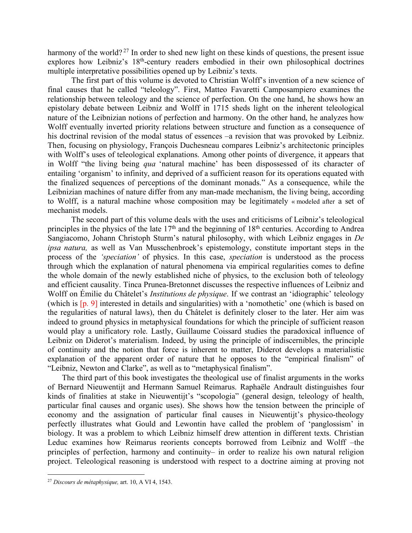harmony of the world?<sup>27</sup> In order to shed new light on these kinds of questions, the present issue explores how Leibniz's 18<sup>th</sup>-century readers embodied in their own philosophical doctrines multiple interpretative possibilities opened up by Leibniz's texts.

The first part of this volume is devoted to Christian Wolff's invention of a new science of final causes that he called "teleology". First, Matteo Favaretti Camposampiero examines the relationship between teleology and the science of perfection. On the one hand, he shows how an epistolary debate between Leibniz and Wolff in 1715 sheds light on the inherent teleological nature of the Leibnizian notions of perfection and harmony. On the other hand, he analyzes how Wolff eventually inverted priority relations between structure and function as a consequence of his doctrinal revision of the modal status of essences –a revision that was provoked by Leibniz. Then, focusing on physiology, François Duchesneau compares Leibniz's architectonic principles with Wolff's uses of teleological explanations. Among other points of divergence, it appears that in Wolff "the living being *qua* 'natural machine' has been dispossessed of its character of entailing 'organism' to infinity, and deprived of a sufficient reason for its operations equated with the finalized sequences of perceptions of the dominant monads." As a consequence, while the Leibnizian machines of nature differ from any man-made mechanism, the living being, according to Wolff, is a natural machine whose composition may be legitimately « modeled after a set of mechanist models.

The second part of this volume deals with the uses and criticisms of Leibniz's teleological principles in the physics of the late 17<sup>th</sup> and the beginning of 18<sup>th</sup> centuries. According to Andrea Sangiacomo, Johann Christoph Sturm's natural philosophy, with which Leibniz engages in *De ipsa natura,* as well as Van Musschenbroek's epistemology, constitute important steps in the process of the *'speciation'* of physics. In this case, *speciation* is understood as the process through which the explanation of natural phenomena via empirical regularities comes to define the whole domain of the newly established niche of physics, to the exclusion both of teleology and efficient causality. Tinca Prunea-Bretonnet discusses the respective influences of Leibniz and Wolff on Émilie du Châtelet's *Institutions de physique*. If we contrast an 'idiographic' teleology (which is [p. 9] interested in details and singularities) with a 'nomothetic' one (which is based on the regularities of natural laws), then du Châtelet is definitely closer to the later. Her aim was indeed to ground physics in metaphysical foundations for which the principle of sufficient reason would play a unificatory role. Lastly, Guillaume Coissard studies the paradoxical influence of Leibniz on Diderot's materialism. Indeed, by using the principle of indiscernibles, the principle of continuity and the notion that force is inherent to matter, Diderot develops a materialistic explanation of the apparent order of nature that he opposes to the "empirical finalism" of "Leibniz, Newton and Clarke", as well as to "metaphysical finalism".

The third part of this book investigates the theological use of finalist arguments in the works of Bernard Nieuwentijt and Hermann Samuel Reimarus. Raphaële Andrault distinguishes four kinds of finalities at stake in Nieuwentijt's "scopologia" (general design, teleology of health, particular final causes and organic uses). She shows how the tension between the principle of economy and the assignation of particular final causes in Nieuwentijt's physico-theology perfectly illustrates what Gould and Lewontin have called the problem of 'panglossism' in biology. It was a problem to which Leibniz himself drew attention in different texts. Christian Leduc examines how Reimarus reorients concepts borrowed from Leibniz and Wolff –the principles of perfection, harmony and continuity– in order to realize his own natural religion project. Teleological reasoning is understood with respect to a doctrine aiming at proving not

<sup>27</sup> *Discours de métaphysique,* art. 10, A VI 4, 1543.